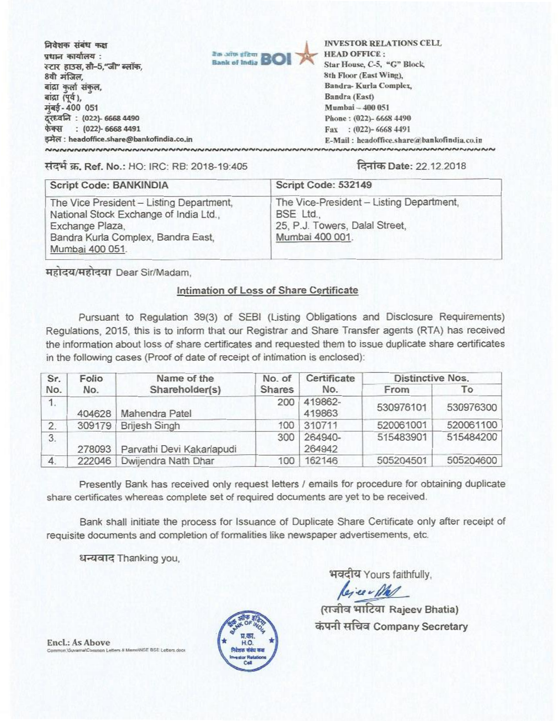fadam **14410- <sup>4381</sup> VIII** कार्यालय: स्टार हाउस, सी-5, जी' ब्लॉक, 8वी मंजिल, बांद्रा कर्ला संकल, बांद्रा (पूर्व), मबई-400 051 co.act : **(022)- 66684490 tzFfi : (022)- 6668 4491 53tH: headoffice.share@bankofindia.co.in**



**INVESTOR RELATIONS CELL HEAD OFFICE : Star House, C-5, "G" Block 8th Floor (East Wing), Sandra- Kurla Complex, Sandra (Fast) M umbel — 400 051 Phone : (022)- 6668 4490 Fax : (022)- 6668 4491 F.-Mail : headoffice.share'Obankofindiaco.in** 

It0- W. Ref. No.: HO: IRC: RB: 2018-19:405 ftaDate: 22.12.2018

| Script Code: BANKINDIA                                                                                                                                         | Script Code: 532149                                                                                        |
|----------------------------------------------------------------------------------------------------------------------------------------------------------------|------------------------------------------------------------------------------------------------------------|
| The Vice President - Listing Department,<br>National Stock Exchange of India Ltd.,<br>Exchange Plaza,<br>Bandra Kurla Complex, Bandra East,<br>Mumbai 400 051. | The Vice-President - Listing Department,<br>BSE Ltd.,<br>25, P.J. Towers, Dalal Street,<br>Mumbai 400 001. |

महोदय/महोदया Dear Sir/Madam,

## Intimation of Loss of Share Certificate

Pursuant to Regulation 39(3) of SEBI (Listing Obligations and Disclosure Requirements) Regulations, 2015, this is to inform that our Registrar and Share Transfer agents (RTA) has received the information about loss of share certificates and requested them to issue duplicate share certificates in the following cases (Proof of date of receipt of intimation is enclosed):

| Sr.<br>No. | Folio<br>No. | Name of the<br>Shareholder(s) | No. of<br><b>Shares</b> | Certificate<br>No. | <b>Distinctive Nos.</b> |           |
|------------|--------------|-------------------------------|-------------------------|--------------------|-------------------------|-----------|
|            |              |                               |                         |                    | From                    | To        |
| 1.         | 404628       | Mahendra Patel                | 200                     | 419862-<br>419863  | 530976101               | 530976300 |
| 2.         | 309179       | <b>Brijesh Singh</b>          | 100                     | 310711             | 520061001               | 520061100 |
| 3.         | 278093       | Parvathi Devi Kakarlapudi     | 300                     | 264940-<br>264942  | 515483901               | 515484200 |
| 4.         | 222046       | Dwijendra Nath Dhar           | 100                     | 162146             | 505204501               | 505204600 |

Presently Bank has received only request letters / emails for procedure for obtaining duplicate share certificates whereas complete set of required documents are yet to be received.

Bank shall initiate the process for Issuance of Duplicate Share Certificate only after receipt of requisite documents and completion of formalities like newspaper advertisements, etc.

धन्यवाद Thanking you,

भवदीय Yours faithfully,

<sub>पदी</sub><br>कि

(राजीव भाटिया Rajeev Bhatia) कंपनी सचिव Company Secretary

**Encl.: As Above Common SEE BSE Letters clock** 

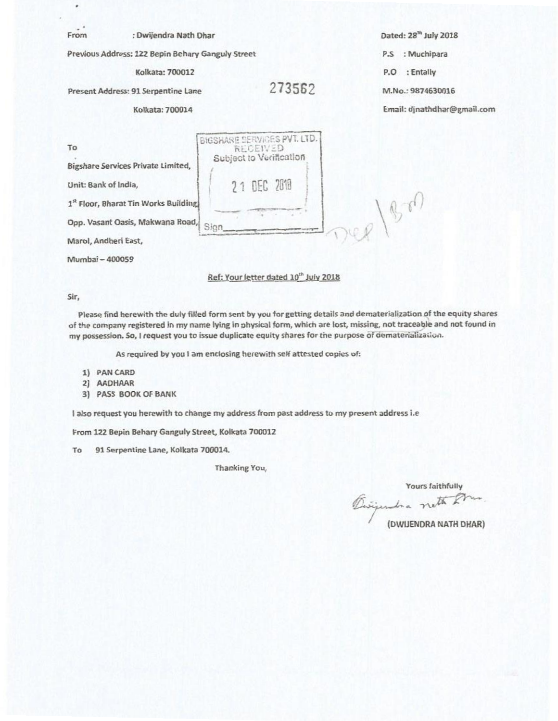| From                       | : Dwijendra Nath Dhar                                                                                                  |                                                                                   | Dated: 28 <sup>th</sup> July 2018 |
|----------------------------|------------------------------------------------------------------------------------------------------------------------|-----------------------------------------------------------------------------------|-----------------------------------|
|                            | Previous Address: 122 Bepin Behary Ganguly Street                                                                      | : Muchipara<br>P.S                                                                |                                   |
|                            | Kolkata: 700012                                                                                                        |                                                                                   | : Entally<br>P.O                  |
|                            | Present Address: 91 Serpentine Lane                                                                                    | 273562                                                                            | M.No.: 9874630016                 |
|                            | Kolkata: 700014                                                                                                        |                                                                                   | Email: djnathdhar@gmail.com       |
| To<br>Unit: Bank of India, | Bigshare Services Private Limited,<br>1st Floor, Bharat Tin Works Building<br>Opp. Vasant Oasis, Makwana Road,<br>Cinn | BIGSHARE SERVICES PVT. LTD.<br>RECEIVED<br>Subject to Verification<br>21 DEC 2018 |                                   |

Marol, Andheri East,

Mumbai — 400059

## Ref: Your letter dated 10<sup>th</sup> July 2018

## Sir,

Please find herewith the duly filled form sent by you for getting details and dematerialization of the equity shares of the company registered in my name lying in physical form, which are lost, missing, not traceable and not found in my possession. So, I request you to issue duplicate equity shares for the purpose of dematerialization.

As required by you I am enclosing herewith self attested copies of:

- 1) PAN CARD
- 2) AADHAAR
- 3) PASS BOOK OF BANK

I also request you herewith to change my address from past address to my present address i.e

From 122 Bepin Behary Ganguly Street, Kolkata 700012

To 91 Serpentine Lane, Kolkata 700014.

Thanking You,

Yours faithfully<br>Ensigendra neth Am

**(DWIJENDRA NATH DHAR)**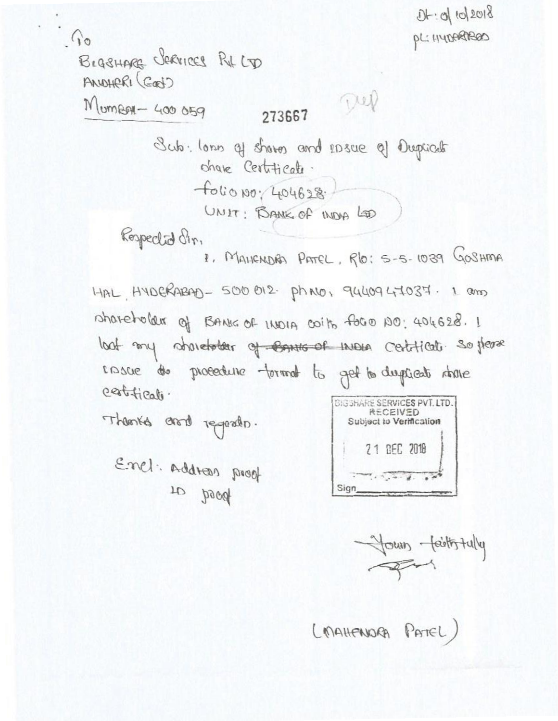$D + 0 |10|2018$  $\hat{a}$ PL: HYDARABOD BLASHARE CREVICES RIL CD ANDHERI (GOD) Dep  $M$ um $RAI - 400059$ 273667 Sub. lonn of shares and rosue of Duplicate share Certificate.  $f\circ b\circ \rho\circ f\circ 4628.$ UNIT: BANK of INDA LOD Respected dir. 1. MAHENDAD PATEL, RO: 5-5-1039 GOSHMA HAL, HYDERABAD - 500 012. Ph NO, 9440947037. 1 am shareholder of BANIG of INDIA coits foro 100: 404628. 1 loot my abordater of Conse of more certificate. So pease casce to procedure format to get to dispicat above certificato. **BIGSHARE SERVICES PVT. LTD. RECEIVED** Theories and regards. Subject to Verification 21 DEC 2018

Your faithfully

(MAHENNORA PATEL)

Sign

Enel: Address proof to beed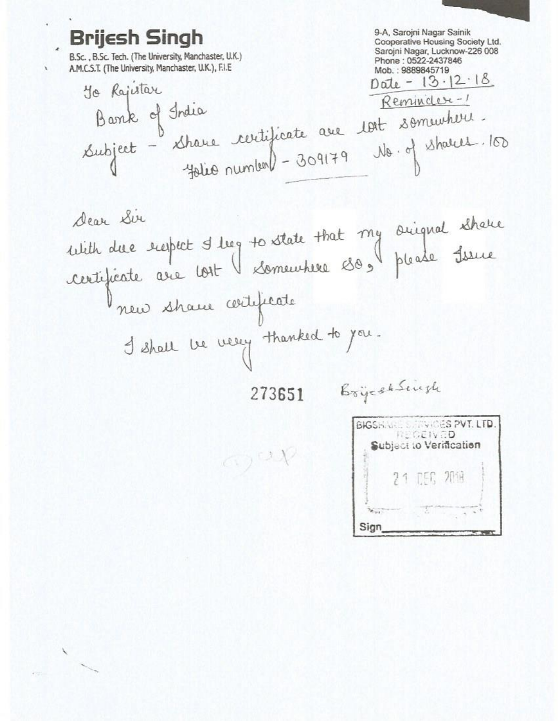9-A, Sarojni Nagar Sainik **Brijesh Singh** Cooperative Housing Society Ltd. Sarojni Nagar, Lucknow-226 008 B.Sc., B.Sc. Tech. (The University, Manchaster, U.K.) Phone: 0522-2437846 A.M.C.S.T. (The University, Manchaster, U.K.), F.I.E. Mob.: 9889845719  $Date - 13.12.18$ To Rajutar Reminder-1 Barre of Irdia<br>Subject - Share certificate ave 10st sommuteur.<br>10. of shares 1909/79 No. of shares. No. of Shalls. 100 Dear Sir With due respect I leg to state that my suignal shake new shaw witificate I shall be very thanked to you. BrycchSingh 273651 BIGSHARE STRACES PVT. LTD. **REGEIVED** Subject to Verification azap **DEC 2014** 

Sign

Ÿ.